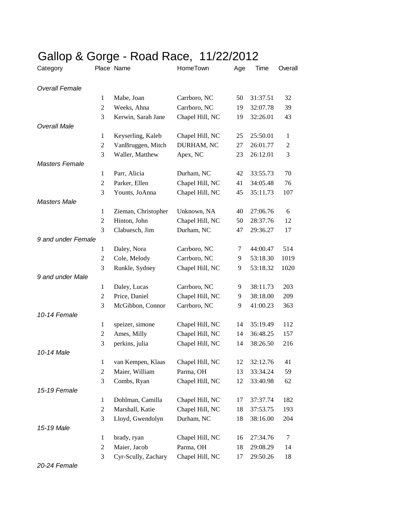| Category              | ◡              | Place Name          | HomeTown        | Age | Time     | Overall          |
|-----------------------|----------------|---------------------|-----------------|-----|----------|------------------|
| <b>Overall Female</b> |                |                     |                 |     |          |                  |
|                       | $\mathbf{1}$   | Mabe, Joan          | Carrboro, NC    | 50  | 31:37.51 | 32               |
|                       | 2              | Weeks, Ahna         | Carrboro, NC    | 19  | 32:07.78 | 39               |
|                       | 3              | Kerwin, Sarah Jane  | Chapel Hill, NC | 19  | 32:26.01 | 43               |
| <b>Overall Male</b>   |                |                     |                 |     |          |                  |
|                       | 1              | Keyserling, Kaleb   | Chapel Hill, NC | 25  | 25:50.01 | 1                |
|                       | $\mathfrak{2}$ | VanBruggen, Mitch   | DURHAM, NC      | 27  | 26:01.77 | $\boldsymbol{2}$ |
|                       | 3              | Waller, Matthew     | Apex, NC        | 23  | 26:12.01 | 3                |
| <b>Masters Female</b> |                |                     |                 |     |          |                  |
|                       | $\mathbf{1}$   | Parr, Alicia        | Durham, NC      | 42  | 33:55.73 | 70               |
|                       | $\overline{c}$ | Parker, Ellen       | Chapel Hill, NC | 41  | 34:05.48 | 76               |
|                       | 3              | Younts, JoAnna      | Chapel Hill, NC | 45  | 35:11.73 | 107              |
| <b>Masters Male</b>   |                |                     |                 |     |          |                  |
|                       | $\mathbf{1}$   | Zieman, Christopher | Unknown, NA     | 40  | 27:06.76 | 6                |
|                       | $\mathfrak{2}$ | Hinton, John        | Chapel Hill, NC | 50  | 28:37.76 | 12               |
|                       | 3              | Clabuesch, Jim      | Durham, NC      | 47  | 29:36.27 | 17               |
| 9 and under Female    |                |                     |                 |     |          |                  |
|                       | $\mathbf{1}$   | Daley, Nora         | Carrboro, NC    | 7   | 44:00.47 | 514              |
|                       | $\overline{c}$ | Cole, Melody        | Carrboro, NC    | 9   | 53:18.30 | 1019             |
|                       | 3              | Runkle, Sydney      | Chapel Hill, NC | 9   | 53:18.32 | 1020             |
| 9 and under Male      |                |                     |                 |     |          |                  |
|                       | $\mathbf{1}$   | Daley, Lucas        | Carrboro, NC    | 9   | 38:11.73 | 203              |
|                       | $\mathfrak{2}$ | Price, Daniel       | Chapel Hill, NC | 9   | 38:18.00 | 209              |
|                       | 3              | McGibbon, Connor    | Carrboro, NC    | 9   | 41:00.23 | 363              |
| 10-14 Female          |                |                     |                 |     |          |                  |
|                       | $\mathbf{1}$   | speizer, simone     | Chapel Hill, NC | 14  | 35:19.49 | 112              |
|                       | 2              | Ames, Milly         | Chapel Hill, NC | 14  | 36:48.25 | 157              |
|                       | 3              | perkins, julia      | Chapel Hill, NC | 14  | 38:26.50 | 216              |
| 10-14 Male            |                |                     |                 |     |          |                  |
|                       | $\mathbf{1}$   | van Kempen, Klaas   | Chapel Hill, NC | 12  | 32:12.76 | 41               |
|                       | $\overline{c}$ | Maier, William      | Parma, OH       | 13  | 33:34.24 | 59               |
|                       | 3              | Combs, Ryan         | Chapel Hill, NC | 12  | 33:40.98 | 62               |
| 15-19 Female          |                |                     |                 |     |          |                  |
|                       | $\mathbf{1}$   | Dohlman, Camilla    | Chapel Hill, NC | 17  | 37:37.74 | 182              |
|                       | 2              | Marshall, Katie     | Chapel Hill, NC | 18  | 37:53.75 | 193              |
|                       | 3              | Lloyd, Gwendolyn    | Durham, NC      | 18  | 38:16.00 | 204              |
| 15-19 Male            |                |                     |                 |     |          |                  |
|                       | $\mathbf{1}$   | brady, ryan         | Chapel Hill, NC | 16  | 27:34.76 | 7                |
|                       | 2              | Maier, Jacob        | Parma, OH       | 18  | 29:08.29 | 14               |
|                       | 3              | Cyr-Scully, Zachary | Chapel Hill, NC | 17  | 29:50.26 | 18               |

## Gallop & Gorge - Road Race, 11/22/2012

*20-24 Female*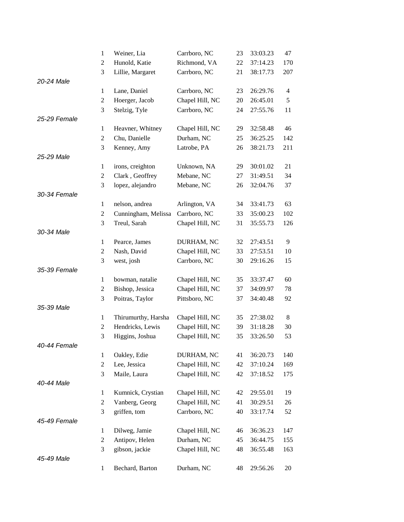|              | $\mathbf{1}$   | Weiner, Lia         | Carrboro, NC    | 23 | 33:03.23 | 47             |
|--------------|----------------|---------------------|-----------------|----|----------|----------------|
|              | $\overline{2}$ | Hunold, Katie       | Richmond, VA    | 22 | 37:14.23 | 170            |
|              | 3              | Lillie, Margaret    | Carrboro, NC    | 21 | 38:17.73 | 207            |
| 20-24 Male   |                |                     |                 |    |          |                |
|              | $\mathbf{1}$   | Lane, Daniel        | Carrboro, NC    | 23 | 26:29.76 | $\overline{4}$ |
|              | $\mathfrak{2}$ | Hoerger, Jacob      | Chapel Hill, NC | 20 | 26:45.01 | 5              |
|              | 3              | Stelzig, Tyle       | Carrboro, NC    | 24 | 27:55.76 | 11             |
| 25-29 Female |                |                     |                 |    |          |                |
|              | $\mathbf{1}$   | Heavner, Whitney    | Chapel Hill, NC | 29 | 32:58.48 | 46             |
|              | $\overline{2}$ | Chu, Danielle       | Durham, NC      | 25 | 36:25.25 | 142            |
|              | 3              | Kenney, Amy         | Latrobe, PA     | 26 | 38:21.73 | 211            |
| 25-29 Male   |                |                     |                 |    |          |                |
|              | $\mathbf{1}$   | irons, creighton    | Unknown, NA     | 29 | 30:01.02 | 21             |
|              | $\overline{2}$ | Clark, Geoffrey     | Mebane, NC      | 27 | 31:49.51 | 34             |
|              | 3              | lopez, alejandro    | Mebane, NC      | 26 | 32:04.76 | 37             |
| 30-34 Female |                |                     |                 |    |          |                |
|              | $\mathbf{1}$   | nelson, andrea      | Arlington, VA   | 34 | 33:41.73 | 63             |
|              | $\overline{c}$ | Cunningham, Melissa | Carrboro, NC    | 33 | 35:00.23 | 102            |
|              | 3              | Treul, Sarah        | Chapel Hill, NC | 31 | 35:55.73 | 126            |
| 30-34 Male   |                |                     |                 |    |          |                |
|              | $\mathbf{1}$   | Pearce, James       | DURHAM, NC      | 32 | 27:43.51 | 9              |
|              | $\overline{2}$ | Nash, David         | Chapel Hill, NC | 33 | 27:53.51 | 10             |
|              | 3              | west, josh          | Carrboro, NC    | 30 | 29:16.26 | 15             |
| 35-39 Female |                |                     |                 |    |          |                |
|              | $\mathbf{1}$   | bowman, natalie     | Chapel Hill, NC | 35 | 33:37.47 | 60             |
|              | $\overline{c}$ | Bishop, Jessica     | Chapel Hill, NC | 37 | 34:09.97 | 78             |
|              | 3              | Poitras, Taylor     | Pittsboro, NC   | 37 | 34:40.48 | 92             |
| 35-39 Male   |                |                     |                 |    |          |                |
|              | $\mathbf{1}$   | Thirumurthy, Harsha | Chapel Hill, NC | 35 | 27:38.02 | 8              |
|              | $\overline{c}$ | Hendricks, Lewis    | Chapel Hill, NC | 39 | 31:18.28 | 30             |
|              | 3              | Higgins, Joshua     | Chapel Hill, NC | 35 | 33:26.50 | 53             |
| 40-44 Female |                |                     |                 |    |          |                |
|              | $\mathbf{1}$   | Oakley, Edie        | DURHAM, NC      | 41 | 36:20.73 | 140            |
|              | $\overline{2}$ | Lee, Jessica        | Chapel Hill, NC | 42 | 37:10.24 | 169            |
|              | 3              | Maile, Laura        | Chapel Hill, NC | 42 | 37:18.52 | 175            |
| 40-44 Male   |                |                     |                 |    |          |                |
|              | $\mathbf{1}$   | Kumnick, Crystian   | Chapel Hill, NC | 42 | 29:55.01 | 19             |
|              | $\overline{2}$ | Vanberg, Georg      | Chapel Hill, NC | 41 | 30:29.51 | 26             |
|              | 3              | griffen, tom        | Carrboro, NC    | 40 | 33:17.74 | 52             |
| 45-49 Female |                |                     |                 |    |          |                |
|              | $\mathbf{1}$   | Dilweg, Jamie       | Chapel Hill, NC | 46 | 36:36.23 | 147            |
|              | $\overline{2}$ | Antipov, Helen      | Durham, NC      | 45 | 36:44.75 | 155            |
|              | 3              | gibson, jackie      | Chapel Hill, NC | 48 | 36:55.48 | 163            |
| 45-49 Male   |                |                     |                 |    |          |                |
|              | $\mathbf{1}$   | Bechard, Barton     | Durham, NC      | 48 | 29:56.26 | 20             |